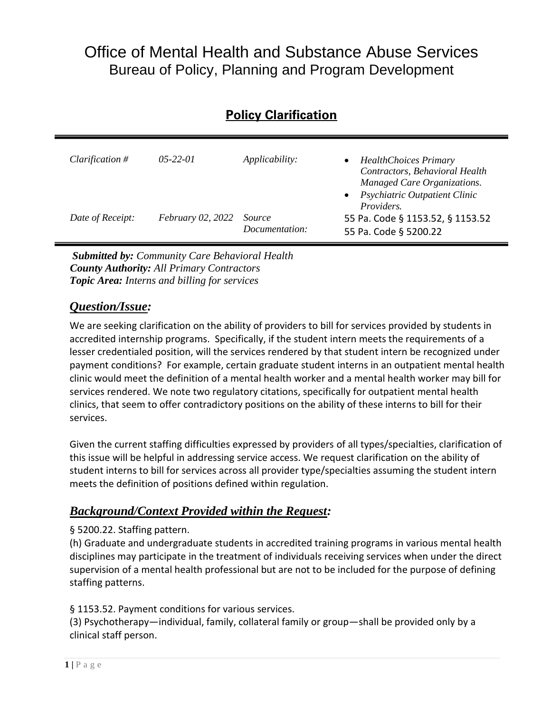# Office of Mental Health and Substance Abuse Services Bureau of Policy, Planning and Program Development

# **Policy Clarification**

| <i>Clarification</i> $#$ | $0.5 - 22 - 0.1$         | Applicability:                  | <b>HealthChoices Primary</b><br>Contractors, Behavioral Health<br>Managed Care Organizations.<br>Psychiatric Outpatient Clinic<br>$\bullet$<br><i>Providers.</i> |
|--------------------------|--------------------------|---------------------------------|------------------------------------------------------------------------------------------------------------------------------------------------------------------|
| Date of Receipt:         | <i>February 02, 2022</i> | <i>Source</i><br>Documentation: | 55 Pa. Code § 1153.52, § 1153.52<br>55 Pa. Code § 5200.22                                                                                                        |

*Submitted by: Community Care Behavioral Health County Authority: All Primary Contractors Topic Area: Interns and billing for services*

### *Question/Issue:*

We are seeking clarification on the ability of providers to bill for services provided by students in accredited internship programs. Specifically, if the student intern meets the requirements of a lesser credentialed position, will the services rendered by that student intern be recognized under payment conditions? For example, certain graduate student interns in an outpatient mental health clinic would meet the definition of a mental health worker and a mental health worker may bill for services rendered. We note two regulatory citations, specifically for outpatient mental health clinics, that seem to offer contradictory positions on the ability of these interns to bill for their services.

Given the current staffing difficulties expressed by providers of all types/specialties, clarification of this issue will be helpful in addressing service access. We request clarification on the ability of student interns to bill for services across all provider type/specialties assuming the student intern meets the definition of positions defined within regulation.

## *Background/Context Provided within the Request:*

#### § 5200.22. Staffing pattern.

(h) Graduate and undergraduate students in accredited training programs in various mental health disciplines may participate in the treatment of individuals receiving services when under the direct supervision of a mental health professional but are not to be included for the purpose of defining staffing patterns.

§ 1153.52. Payment conditions for various services.

(3) Psychotherapy—individual, family, collateral family or group—shall be provided only by a clinical staff person.